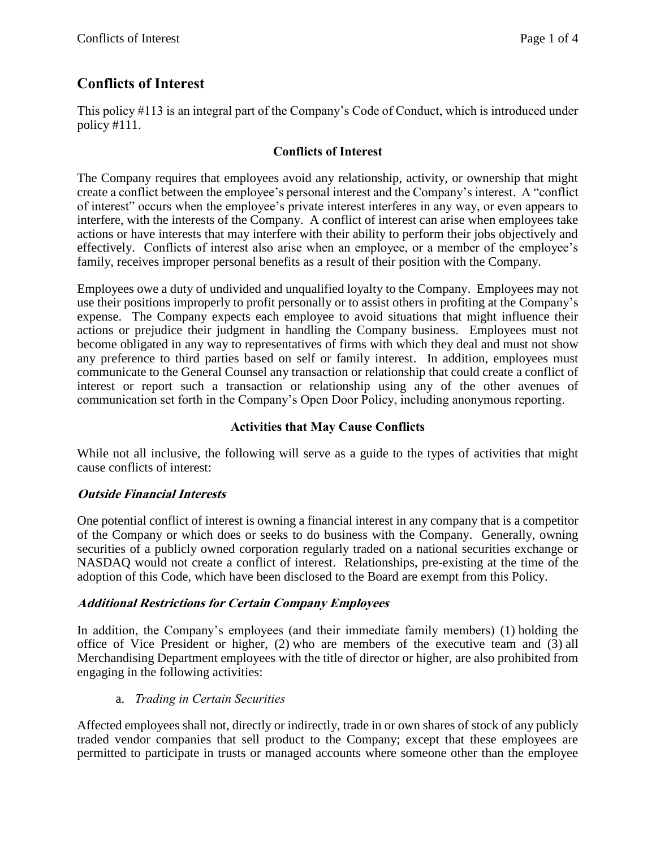# **Conflicts of Interest**

This policy #113 is an integral part of the Company's Code of Conduct, which is introduced under policy #111.

## **Conflicts of Interest**

The Company requires that employees avoid any relationship, activity, or ownership that might create a conflict between the employee's personal interest and the Company's interest. A "conflict of interest" occurs when the employee's private interest interferes in any way, or even appears to interfere, with the interests of the Company. A conflict of interest can arise when employees take actions or have interests that may interfere with their ability to perform their jobs objectively and effectively. Conflicts of interest also arise when an employee, or a member of the employee's family, receives improper personal benefits as a result of their position with the Company.

Employees owe a duty of undivided and unqualified loyalty to the Company. Employees may not use their positions improperly to profit personally or to assist others in profiting at the Company's expense. The Company expects each employee to avoid situations that might influence their actions or prejudice their judgment in handling the Company business. Employees must not become obligated in any way to representatives of firms with which they deal and must not show any preference to third parties based on self or family interest. In addition, employees must communicate to the General Counsel any transaction or relationship that could create a conflict of interest or report such a transaction or relationship using any of the other avenues of communication set forth in the Company's Open Door Policy, including anonymous reporting.

# **Activities that May Cause Conflicts**

While not all inclusive, the following will serve as a guide to the types of activities that might cause conflicts of interest:

## **Outside Financial Interests**

One potential conflict of interest is owning a financial interest in any company that is a competitor of the Company or which does or seeks to do business with the Company. Generally, owning securities of a publicly owned corporation regularly traded on a national securities exchange or NASDAQ would not create a conflict of interest. Relationships, pre-existing at the time of the adoption of this Code, which have been disclosed to the Board are exempt from this Policy.

## **Additional Restrictions for Certain Company Employees**

In addition, the Company's employees (and their immediate family members) (1) holding the office of Vice President or higher, (2) who are members of the executive team and (3) all Merchandising Department employees with the title of director or higher, are also prohibited from engaging in the following activities:

a. *Trading in Certain Securities*

Affected employees shall not, directly or indirectly, trade in or own shares of stock of any publicly traded vendor companies that sell product to the Company; except that these employees are permitted to participate in trusts or managed accounts where someone other than the employee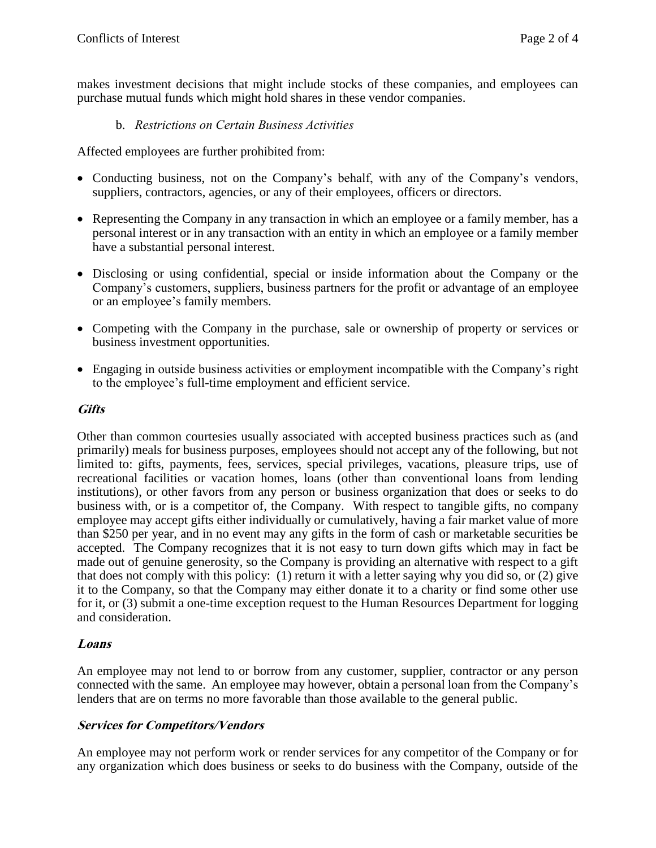makes investment decisions that might include stocks of these companies, and employees can purchase mutual funds which might hold shares in these vendor companies.

## b. *Restrictions on Certain Business Activities*

Affected employees are further prohibited from:

- Conducting business, not on the Company's behalf, with any of the Company's vendors, suppliers, contractors, agencies, or any of their employees, officers or directors.
- Representing the Company in any transaction in which an employee or a family member, has a personal interest or in any transaction with an entity in which an employee or a family member have a substantial personal interest.
- Disclosing or using confidential, special or inside information about the Company or the Company's customers, suppliers, business partners for the profit or advantage of an employee or an employee's family members.
- Competing with the Company in the purchase, sale or ownership of property or services or business investment opportunities.
- Engaging in outside business activities or employment incompatible with the Company's right to the employee's full-time employment and efficient service.

## **Gifts**

Other than common courtesies usually associated with accepted business practices such as (and primarily) meals for business purposes, employees should not accept any of the following, but not limited to: gifts, payments, fees, services, special privileges, vacations, pleasure trips, use of recreational facilities or vacation homes, loans (other than conventional loans from lending institutions), or other favors from any person or business organization that does or seeks to do business with, or is a competitor of, the Company. With respect to tangible gifts, no company employee may accept gifts either individually or cumulatively, having a fair market value of more than \$250 per year, and in no event may any gifts in the form of cash or marketable securities be accepted. The Company recognizes that it is not easy to turn down gifts which may in fact be made out of genuine generosity, so the Company is providing an alternative with respect to a gift that does not comply with this policy: (1) return it with a letter saying why you did so, or (2) give it to the Company, so that the Company may either donate it to a charity or find some other use for it, or (3) submit a one-time exception request to the Human Resources Department for logging and consideration.

## **Loans**

An employee may not lend to or borrow from any customer, supplier, contractor or any person connected with the same. An employee may however, obtain a personal loan from the Company's lenders that are on terms no more favorable than those available to the general public.

## **Services for Competitors/Vendors**

An employee may not perform work or render services for any competitor of the Company or for any organization which does business or seeks to do business with the Company, outside of the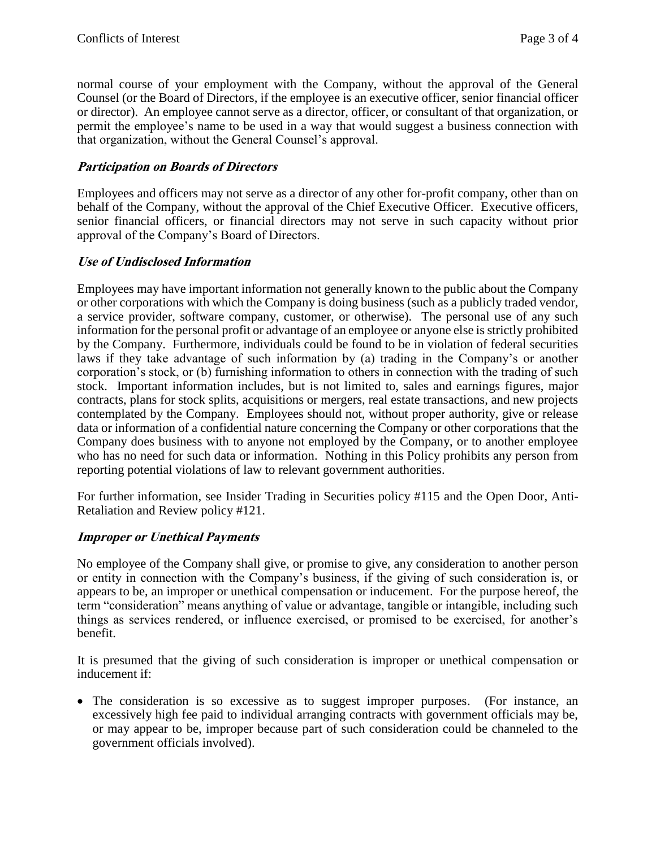normal course of your employment with the Company, without the approval of the General Counsel (or the Board of Directors, if the employee is an executive officer, senior financial officer or director). An employee cannot serve as a director, officer, or consultant of that organization, or permit the employee's name to be used in a way that would suggest a business connection with that organization, without the General Counsel's approval.

#### **Participation on Boards of Directors**

Employees and officers may not serve as a director of any other for-profit company, other than on behalf of the Company, without the approval of the Chief Executive Officer. Executive officers, senior financial officers, or financial directors may not serve in such capacity without prior approval of the Company's Board of Directors.

## **Use of Undisclosed Information**

Employees may have important information not generally known to the public about the Company or other corporations with which the Company is doing business (such as a publicly traded vendor, a service provider, software company, customer, or otherwise). The personal use of any such information for the personal profit or advantage of an employee or anyone else is strictly prohibited by the Company. Furthermore, individuals could be found to be in violation of federal securities laws if they take advantage of such information by (a) trading in the Company's or another corporation's stock, or (b) furnishing information to others in connection with the trading of such stock. Important information includes, but is not limited to, sales and earnings figures, major contracts, plans for stock splits, acquisitions or mergers, real estate transactions, and new projects contemplated by the Company. Employees should not, without proper authority, give or release data or information of a confidential nature concerning the Company or other corporations that the Company does business with to anyone not employed by the Company, or to another employee who has no need for such data or information. Nothing in this Policy prohibits any person from reporting potential violations of law to relevant government authorities.

For further information, see Insider Trading in Securities policy #115 and the Open Door, Anti-Retaliation and Review policy #121.

#### **Improper or Unethical Payments**

No employee of the Company shall give, or promise to give, any consideration to another person or entity in connection with the Company's business, if the giving of such consideration is, or appears to be, an improper or unethical compensation or inducement. For the purpose hereof, the term "consideration" means anything of value or advantage, tangible or intangible, including such things as services rendered, or influence exercised, or promised to be exercised, for another's benefit.

It is presumed that the giving of such consideration is improper or unethical compensation or inducement if:

 The consideration is so excessive as to suggest improper purposes. (For instance, an excessively high fee paid to individual arranging contracts with government officials may be, or may appear to be, improper because part of such consideration could be channeled to the government officials involved).